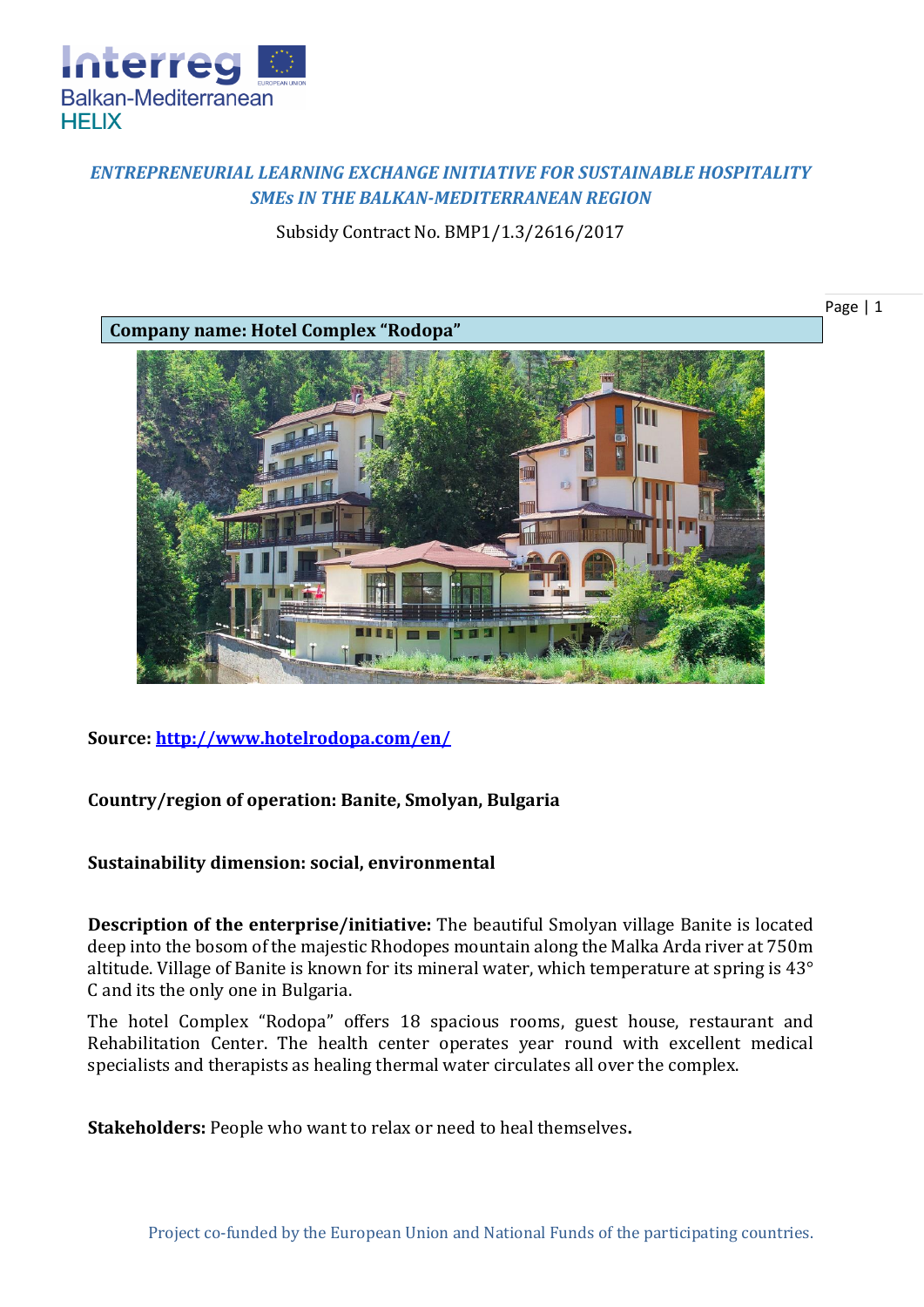

## *ENTREPRENEURIAL LEARNING EXCHANGE INITIATIVE FOR SUSTAINABLE HOSPITALITY SMEs IN THE BALKAN-MEDITERRANEAN REGION*

Subsidy Contract No. BMP1/1.3/2616/2017



**Source:<http://www.hotelrodopa.com/en/>**

## **Country/region of operation: Banite, Smolyan, Bulgaria**

## **Sustainability dimension: social, environmental**

**Description of the enterprise/initiative:** The beautiful Smolyan village Banite is located deep into the bosom of the majestic Rhodopes mountain along the Malka Arda river at 750m altitude. Village of Banite is known for its mineral water, which temperature at spring is 43° С and its the only one in Bulgaria.

The hotel Complex "Rodopa" offers 18 spacious rooms, guest house, restaurant and Rehabilitation Center. The health center operates year round with excellent medical specialists and therapists as healing thermal water circulates all over the complex.

**Stakeholders:** People who want to relax or need to heal themselves**.**